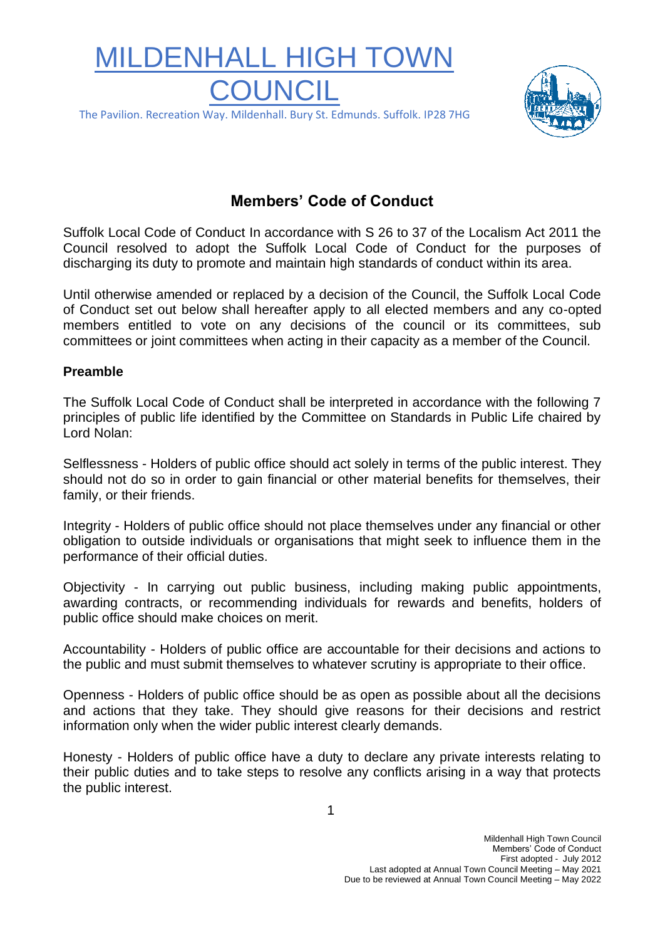# MILDENHALL HIGH TOWN **COUNCIL** The Pavilion. Recreation Way. Mildenhall. Bury St. Edmunds. Suffolk. IP28 7HG



## **Members' Code of Conduct**

Suffolk Local Code of Conduct In accordance with S 26 to 37 of the Localism Act 2011 the Council resolved to adopt the Suffolk Local Code of Conduct for the purposes of discharging its duty to promote and maintain high standards of conduct within its area.

Until otherwise amended or replaced by a decision of the Council, the Suffolk Local Code of Conduct set out below shall hereafter apply to all elected members and any co-opted members entitled to vote on any decisions of the council or its committees, sub committees or joint committees when acting in their capacity as a member of the Council.

#### **Preamble**

The Suffolk Local Code of Conduct shall be interpreted in accordance with the following 7 principles of public life identified by the Committee on Standards in Public Life chaired by Lord Nolan:

Selflessness - Holders of public office should act solely in terms of the public interest. They should not do so in order to gain financial or other material benefits for themselves, their family, or their friends.

Integrity - Holders of public office should not place themselves under any financial or other obligation to outside individuals or organisations that might seek to influence them in the performance of their official duties.

Objectivity - In carrying out public business, including making public appointments, awarding contracts, or recommending individuals for rewards and benefits, holders of public office should make choices on merit.

Accountability - Holders of public office are accountable for their decisions and actions to the public and must submit themselves to whatever scrutiny is appropriate to their office.

Openness - Holders of public office should be as open as possible about all the decisions and actions that they take. They should give reasons for their decisions and restrict information only when the wider public interest clearly demands.

Honesty - Holders of public office have a duty to declare any private interests relating to their public duties and to take steps to resolve any conflicts arising in a way that protects the public interest.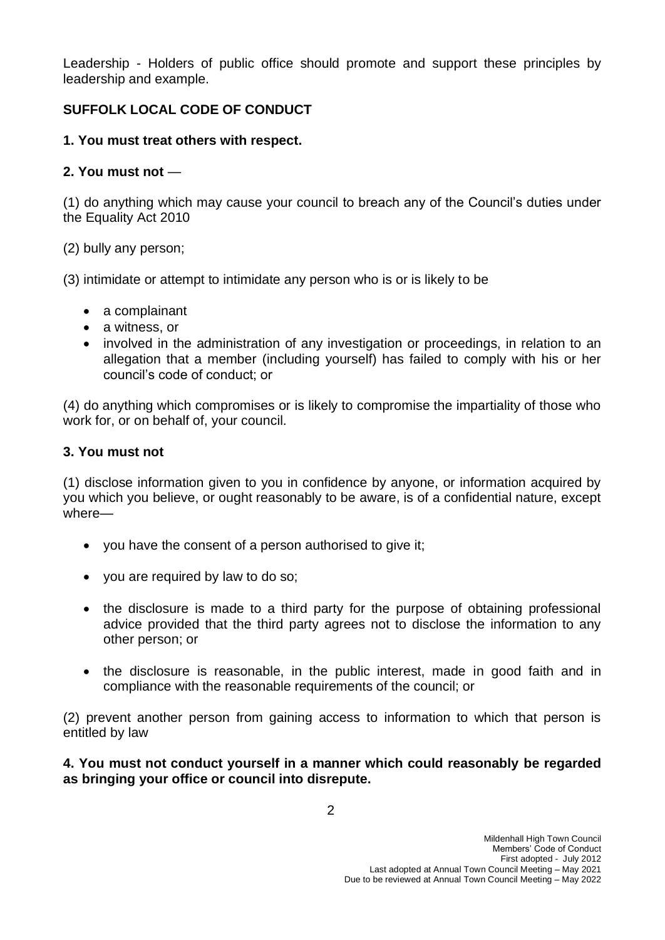Leadership - Holders of public office should promote and support these principles by leadership and example.

## **SUFFOLK LOCAL CODE OF CONDUCT**

### **1. You must treat others with respect.**

## **2. You must not** —

(1) do anything which may cause your council to breach any of the Council's duties under the Equality Act 2010

(2) bully any person;

(3) intimidate or attempt to intimidate any person who is or is likely to be

- a complainant
- a witness, or
- involved in the administration of any investigation or proceedings, in relation to an allegation that a member (including yourself) has failed to comply with his or her council's code of conduct; or

(4) do anything which compromises or is likely to compromise the impartiality of those who work for, or on behalf of, your council.

## **3. You must not**

(1) disclose information given to you in confidence by anyone, or information acquired by you which you believe, or ought reasonably to be aware, is of a confidential nature, except where—

- you have the consent of a person authorised to give it;
- you are required by law to do so;
- the disclosure is made to a third party for the purpose of obtaining professional advice provided that the third party agrees not to disclose the information to any other person; or
- the disclosure is reasonable, in the public interest, made in good faith and in compliance with the reasonable requirements of the council; or

(2) prevent another person from gaining access to information to which that person is entitled by law

#### **4. You must not conduct yourself in a manner which could reasonably be regarded as bringing your office or council into disrepute.**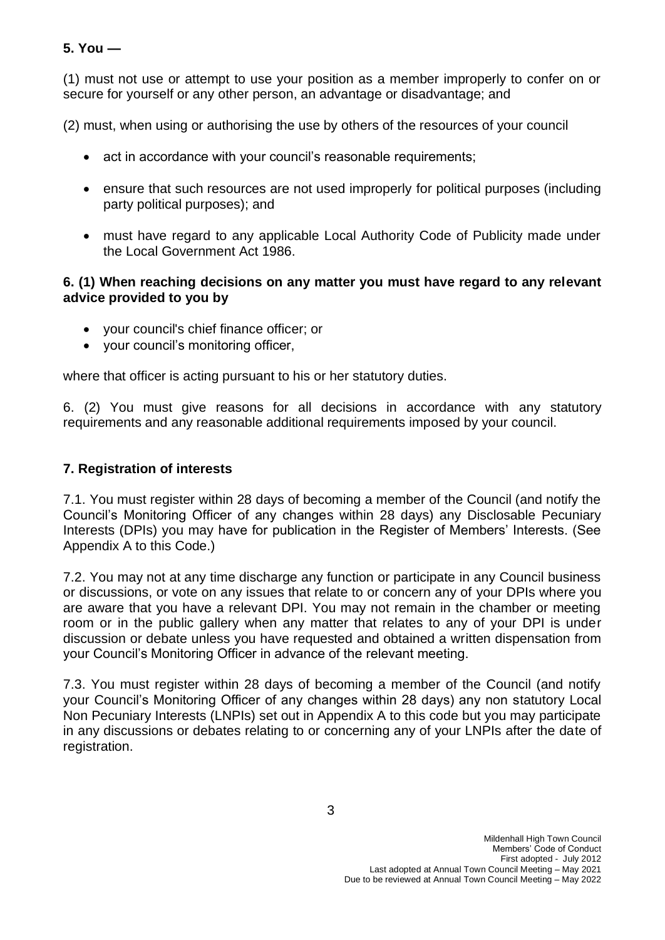### **5. You —**

(1) must not use or attempt to use your position as a member improperly to confer on or secure for yourself or any other person, an advantage or disadvantage; and

(2) must, when using or authorising the use by others of the resources of your council

- act in accordance with your council's reasonable requirements;
- ensure that such resources are not used improperly for political purposes (including party political purposes); and
- must have regard to any applicable Local Authority Code of Publicity made under the Local Government Act 1986.

#### **6. (1) When reaching decisions on any matter you must have regard to any relevant advice provided to you by**

- your council's chief finance officer; or
- your council's monitoring officer,

where that officer is acting pursuant to his or her statutory duties.

6. (2) You must give reasons for all decisions in accordance with any statutory requirements and any reasonable additional requirements imposed by your council.

#### **7. Registration of interests**

7.1. You must register within 28 days of becoming a member of the Council (and notify the Council's Monitoring Officer of any changes within 28 days) any Disclosable Pecuniary Interests (DPIs) you may have for publication in the Register of Members' Interests. (See Appendix A to this Code.)

7.2. You may not at any time discharge any function or participate in any Council business or discussions, or vote on any issues that relate to or concern any of your DPIs where you are aware that you have a relevant DPI. You may not remain in the chamber or meeting room or in the public gallery when any matter that relates to any of your DPI is under discussion or debate unless you have requested and obtained a written dispensation from your Council's Monitoring Officer in advance of the relevant meeting.

7.3. You must register within 28 days of becoming a member of the Council (and notify your Council's Monitoring Officer of any changes within 28 days) any non statutory Local Non Pecuniary Interests (LNPIs) set out in Appendix A to this code but you may participate in any discussions or debates relating to or concerning any of your LNPIs after the date of registration.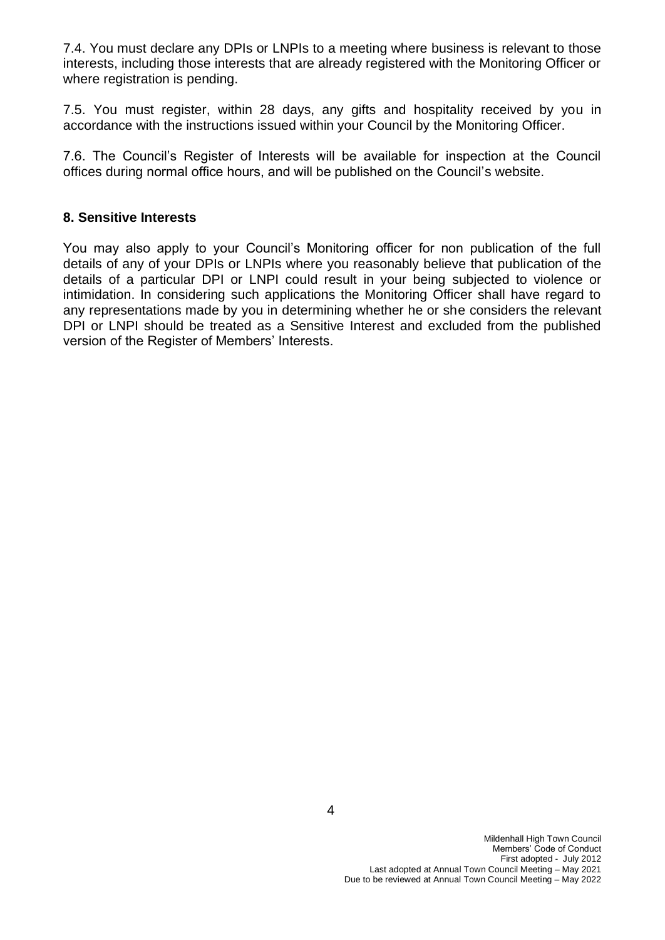7.4. You must declare any DPIs or LNPIs to a meeting where business is relevant to those interests, including those interests that are already registered with the Monitoring Officer or where registration is pending.

7.5. You must register, within 28 days, any gifts and hospitality received by you in accordance with the instructions issued within your Council by the Monitoring Officer.

7.6. The Council's Register of Interests will be available for inspection at the Council offices during normal office hours, and will be published on the Council's website.

#### **8. Sensitive Interests**

You may also apply to your Council's Monitoring officer for non publication of the full details of any of your DPIs or LNPIs where you reasonably believe that publication of the details of a particular DPI or LNPI could result in your being subjected to violence or intimidation. In considering such applications the Monitoring Officer shall have regard to any representations made by you in determining whether he or she considers the relevant DPI or LNPI should be treated as a Sensitive Interest and excluded from the published version of the Register of Members' Interests.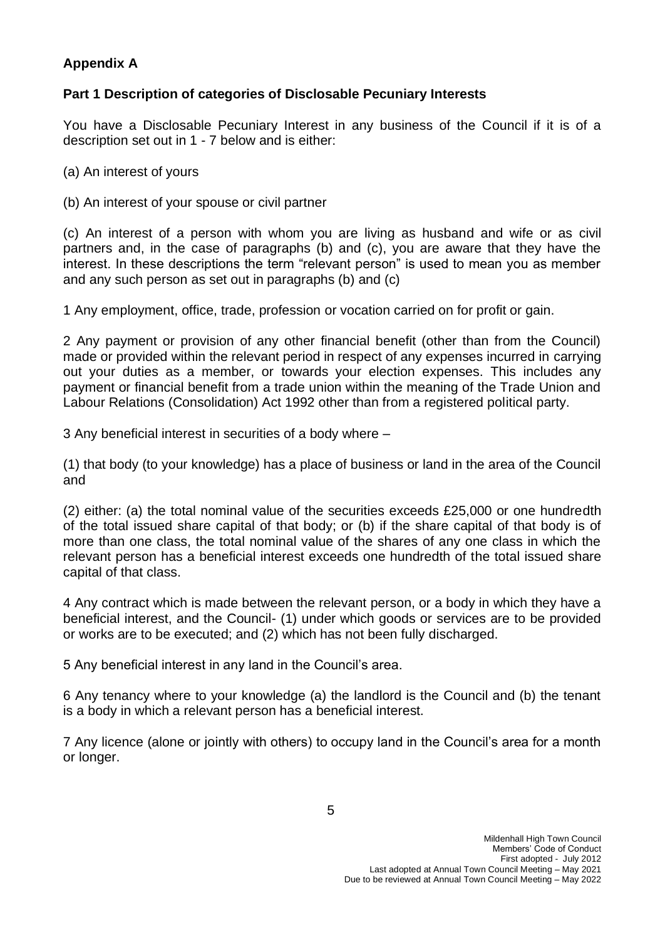## **Appendix A**

## **Part 1 Description of categories of Disclosable Pecuniary Interests**

You have a Disclosable Pecuniary Interest in any business of the Council if it is of a description set out in 1 - 7 below and is either:

(a) An interest of yours

(b) An interest of your spouse or civil partner

(c) An interest of a person with whom you are living as husband and wife or as civil partners and, in the case of paragraphs (b) and (c), you are aware that they have the interest. In these descriptions the term "relevant person" is used to mean you as member and any such person as set out in paragraphs (b) and (c)

1 Any employment, office, trade, profession or vocation carried on for profit or gain.

2 Any payment or provision of any other financial benefit (other than from the Council) made or provided within the relevant period in respect of any expenses incurred in carrying out your duties as a member, or towards your election expenses. This includes any payment or financial benefit from a trade union within the meaning of the Trade Union and Labour Relations (Consolidation) Act 1992 other than from a registered political party.

3 Any beneficial interest in securities of a body where –

(1) that body (to your knowledge) has a place of business or land in the area of the Council and

(2) either: (a) the total nominal value of the securities exceeds £25,000 or one hundredth of the total issued share capital of that body; or (b) if the share capital of that body is of more than one class, the total nominal value of the shares of any one class in which the relevant person has a beneficial interest exceeds one hundredth of the total issued share capital of that class.

4 Any contract which is made between the relevant person, or a body in which they have a beneficial interest, and the Council- (1) under which goods or services are to be provided or works are to be executed; and (2) which has not been fully discharged.

5 Any beneficial interest in any land in the Council's area.

6 Any tenancy where to your knowledge (a) the landlord is the Council and (b) the tenant is a body in which a relevant person has a beneficial interest.

7 Any licence (alone or jointly with others) to occupy land in the Council's area for a month or longer.